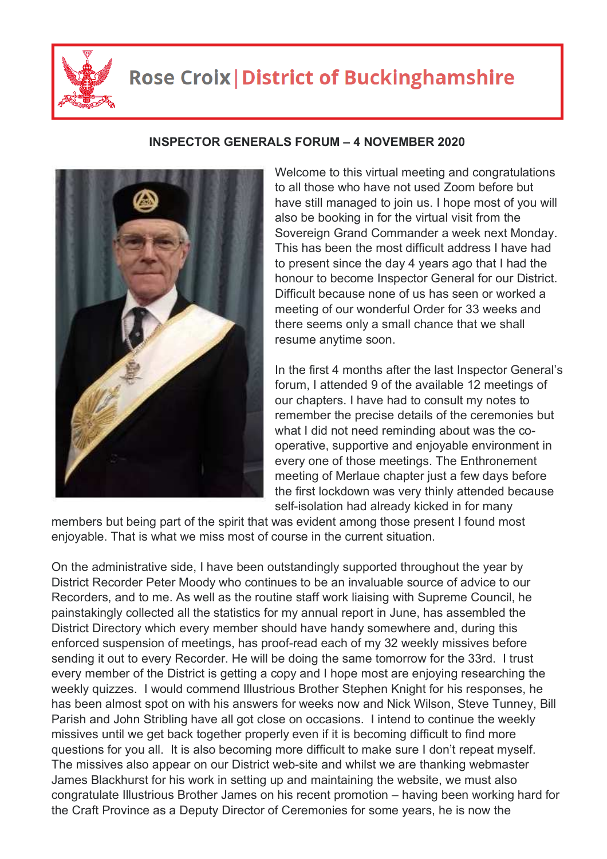

## **Rose Croix | District of Buckinghamshire**

## **INSPECTOR GENERALS FORUM – 4 NOVEMBER 2020**

Welcome to this virtual meeting and congratulations to all those who have not used Zoom before but have still managed to join us. I hope most of you will also be booking in for the virtual visit from the Sovereign Grand Commander a week next Monday. This has been the most difficult address I have had to present since the day 4 years ago that I had the honour to become Inspector General for our District. Difficult because none of us has seen or worked a meeting of our wonderful Order for 33 weeks and there seems only a small chance that we shall resume anytime soon.

In the first 4 months after the last Inspector General's forum, I attended 9 of the available 12 meetings of our chapters. I have had to consult my notes to remember the precise details of the ceremonies but what I did not need reminding about was the cooperative, supportive and enjoyable environment in every one of those meetings. The Enthronement meeting of Merlaue chapter just a few days before the first lockdown was very thinly attended because self-isolation had already kicked in for many

members but being part of the spirit that was evident among those present I found most enjoyable. That is what we miss most of course in the current situation.

On the administrative side, I have been outstandingly supported throughout the year by District Recorder Peter Moody who continues to be an invaluable source of advice to our Recorders, and to me. As well as the routine staff work liaising with Supreme Council, he painstakingly collected all the statistics for my annual report in June, has assembled the District Directory which every member should have handy somewhere and, during this enforced suspension of meetings, has proof-read each of my 32 weekly missives before sending it out to every Recorder. He will be doing the same tomorrow for the 33rd. I trust every member of the District is getting a copy and I hope most are enjoying researching the weekly quizzes. I would commend Illustrious Brother Stephen Knight for his responses, he has been almost spot on with his answers for weeks now and Nick Wilson, Steve Tunney, Bill Parish and John Stribling have all got close on occasions. I intend to continue the weekly missives until we get back together properly even if it is becoming difficult to find more questions for you all. It is also becoming more difficult to make sure I don't repeat myself. The missives also appear on our District web-site and whilst we are thanking webmaster James Blackhurst for his work in setting up and maintaining the website, we must also congratulate Illustrious Brother James on his recent promotion – having been working hard for the Craft Province as a Deputy Director of Ceremonies for some years, he is now the